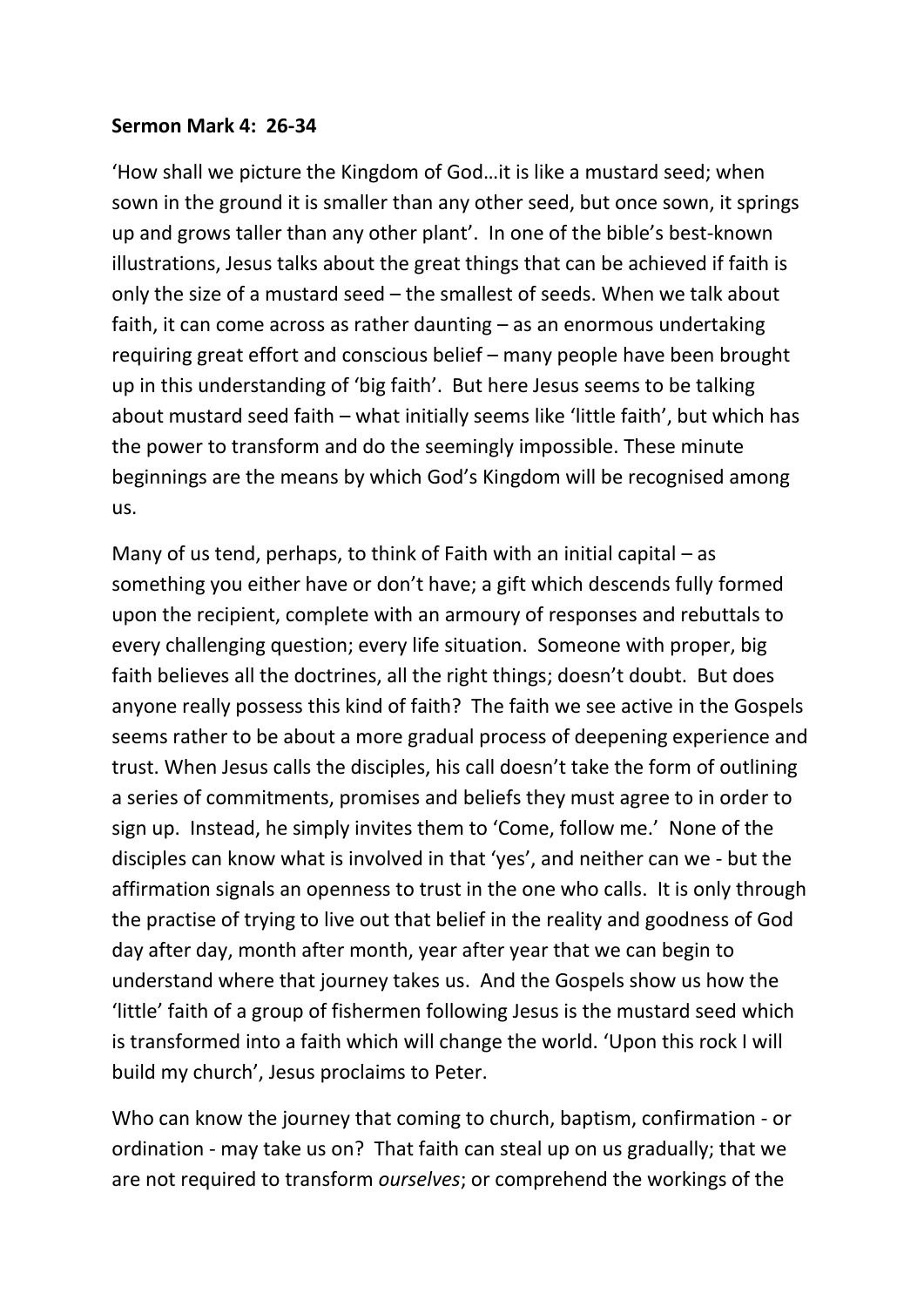## **Sermon Mark 4: 26-34**

'How shall we picture the Kingdom of God…it is like a mustard seed; when sown in the ground it is smaller than any other seed, but once sown, it springs up and grows taller than any other plant'. In one of the bible's best-known illustrations, Jesus talks about the great things that can be achieved if faith is only the size of a mustard seed – the smallest of seeds. When we talk about faith, it can come across as rather daunting – as an enormous undertaking requiring great effort and conscious belief – many people have been brought up in this understanding of 'big faith'. But here Jesus seems to be talking about mustard seed faith – what initially seems like 'little faith', but which has the power to transform and do the seemingly impossible. These minute beginnings are the means by which God's Kingdom will be recognised among us.

Many of us tend, perhaps, to think of Faith with an initial capital – as something you either have or don't have; a gift which descends fully formed upon the recipient, complete with an armoury of responses and rebuttals to every challenging question; every life situation. Someone with proper, big faith believes all the doctrines, all the right things; doesn't doubt. But does anyone really possess this kind of faith? The faith we see active in the Gospels seems rather to be about a more gradual process of deepening experience and trust. When Jesus calls the disciples, his call doesn't take the form of outlining a series of commitments, promises and beliefs they must agree to in order to sign up. Instead, he simply invites them to 'Come, follow me.' None of the disciples can know what is involved in that 'yes', and neither can we - but the affirmation signals an openness to trust in the one who calls. It is only through the practise of trying to live out that belief in the reality and goodness of God day after day, month after month, year after year that we can begin to understand where that journey takes us. And the Gospels show us how the 'little' faith of a group of fishermen following Jesus is the mustard seed which is transformed into a faith which will change the world. 'Upon this rock I will build my church', Jesus proclaims to Peter.

Who can know the journey that coming to church, baptism, confirmation - or ordination - may take us on? That faith can steal up on us gradually; that we are not required to transform *ourselves*; or comprehend the workings of the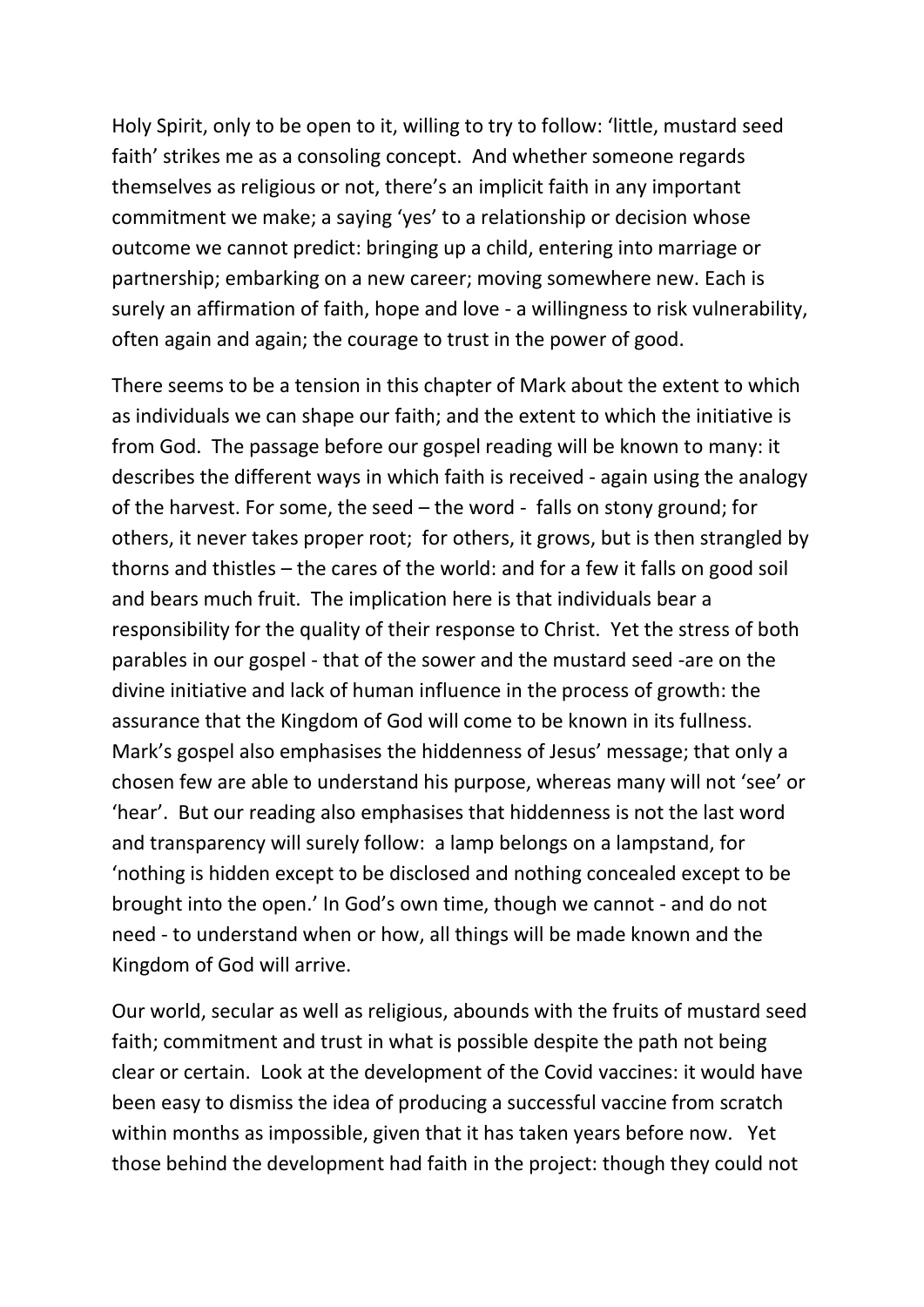Holy Spirit, only to be open to it, willing to try to follow: 'little, mustard seed faith' strikes me as a consoling concept. And whether someone regards themselves as religious or not, there's an implicit faith in any important commitment we make; a saying 'yes' to a relationship or decision whose outcome we cannot predict: bringing up a child, entering into marriage or partnership; embarking on a new career; moving somewhere new. Each is surely an affirmation of faith, hope and love - a willingness to risk vulnerability, often again and again; the courage to trust in the power of good.

There seems to be a tension in this chapter of Mark about the extent to which as individuals we can shape our faith; and the extent to which the initiative is from God. The passage before our gospel reading will be known to many: it describes the different ways in which faith is received - again using the analogy of the harvest. For some, the seed – the word - falls on stony ground; for others, it never takes proper root; for others, it grows, but is then strangled by thorns and thistles – the cares of the world: and for a few it falls on good soil and bears much fruit. The implication here is that individuals bear a responsibility for the quality of their response to Christ. Yet the stress of both parables in our gospel - that of the sower and the mustard seed -are on the divine initiative and lack of human influence in the process of growth: the assurance that the Kingdom of God will come to be known in its fullness. Mark's gospel also emphasises the hiddenness of Jesus' message; that only a chosen few are able to understand his purpose, whereas many will not 'see' or 'hear'. But our reading also emphasises that hiddenness is not the last word and transparency will surely follow: a lamp belongs on a lampstand, for 'nothing is hidden except to be disclosed and nothing concealed except to be brought into the open.' In God's own time, though we cannot - and do not need - to understand when or how, all things will be made known and the Kingdom of God will arrive.

Our world, secular as well as religious, abounds with the fruits of mustard seed faith; commitment and trust in what is possible despite the path not being clear or certain. Look at the development of the Covid vaccines: it would have been easy to dismiss the idea of producing a successful vaccine from scratch within months as impossible, given that it has taken years before now. Yet those behind the development had faith in the project: though they could not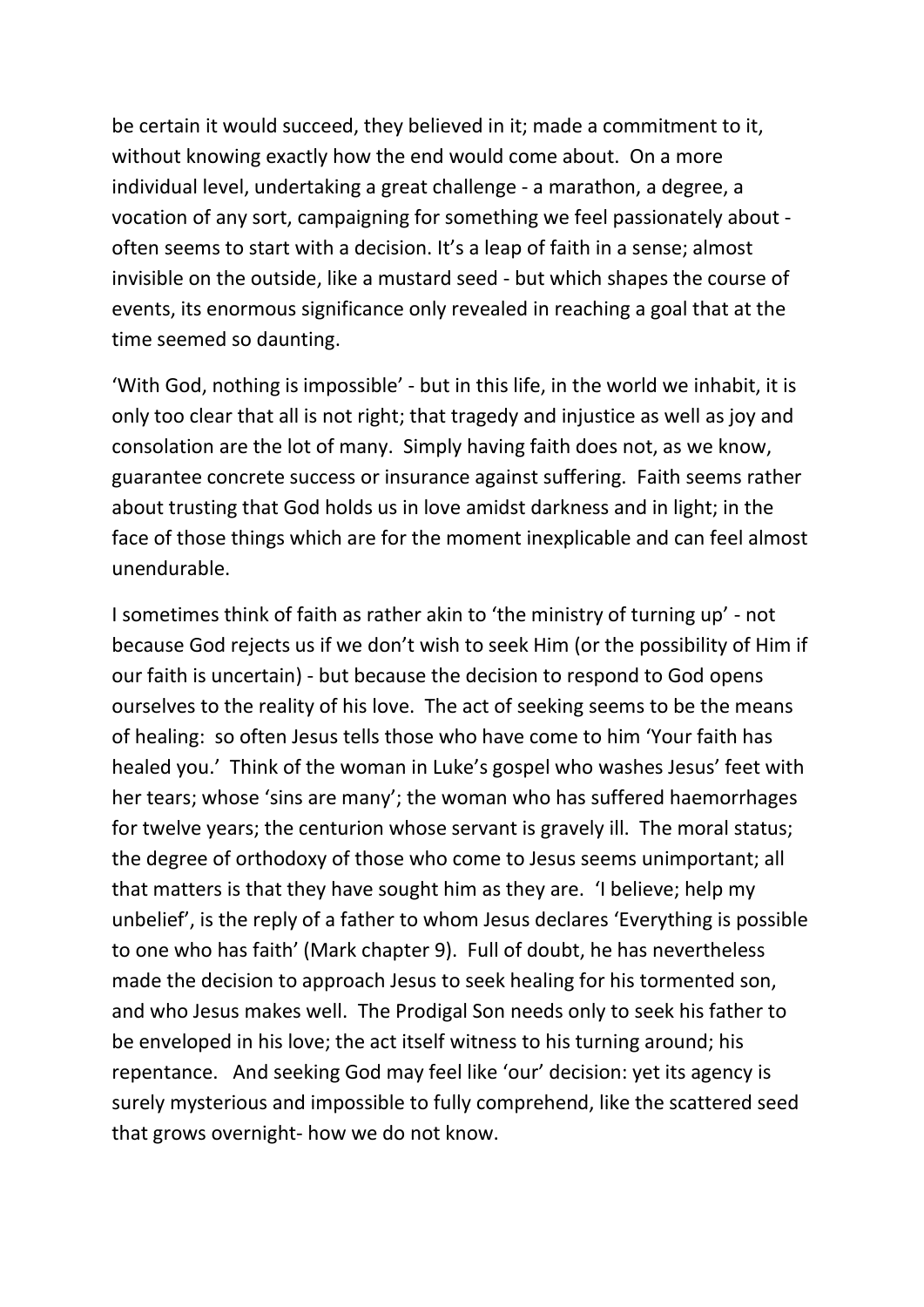be certain it would succeed, they believed in it; made a commitment to it, without knowing exactly how the end would come about. On a more individual level, undertaking a great challenge - a marathon, a degree, a vocation of any sort, campaigning for something we feel passionately about often seems to start with a decision. It's a leap of faith in a sense; almost invisible on the outside, like a mustard seed - but which shapes the course of events, its enormous significance only revealed in reaching a goal that at the time seemed so daunting.

'With God, nothing is impossible' - but in this life, in the world we inhabit, it is only too clear that all is not right; that tragedy and injustice as well as joy and consolation are the lot of many. Simply having faith does not, as we know, guarantee concrete success or insurance against suffering. Faith seems rather about trusting that God holds us in love amidst darkness and in light; in the face of those things which are for the moment inexplicable and can feel almost unendurable.

I sometimes think of faith as rather akin to 'the ministry of turning up' - not because God rejects us if we don't wish to seek Him (or the possibility of Him if our faith is uncertain) - but because the decision to respond to God opens ourselves to the reality of his love. The act of seeking seems to be the means of healing: so often Jesus tells those who have come to him 'Your faith has healed you.' Think of the woman in Luke's gospel who washes Jesus' feet with her tears; whose 'sins are many'; the woman who has suffered haemorrhages for twelve years; the centurion whose servant is gravely ill. The moral status; the degree of orthodoxy of those who come to Jesus seems unimportant; all that matters is that they have sought him as they are. 'I believe; help my unbelief', is the reply of a father to whom Jesus declares 'Everything is possible to one who has faith' (Mark chapter 9). Full of doubt, he has nevertheless made the decision to approach Jesus to seek healing for his tormented son, and who Jesus makes well. The Prodigal Son needs only to seek his father to be enveloped in his love; the act itself witness to his turning around; his repentance. And seeking God may feel like 'our' decision: yet its agency is surely mysterious and impossible to fully comprehend, like the scattered seed that grows overnight- how we do not know.